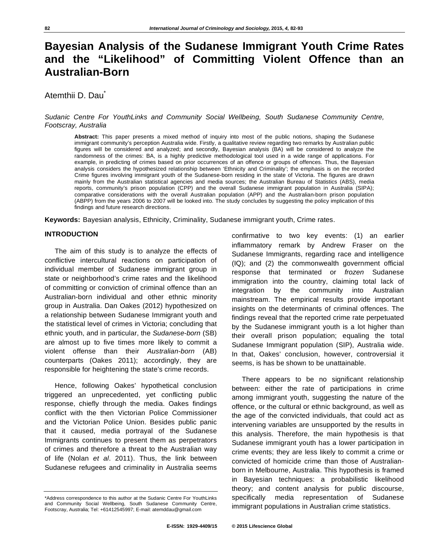# **Bayesian Analysis of the Sudanese Immigrant Youth Crime Rates and the "Likelihood" of Committing Violent Offence than an Australian-Born**

Atemthii D. Dau<sup>\*</sup>

*Sudanic Centre For YouthLinks and Community Social Wellbeing, South Sudanese Community Centre, Footscray, Australia* 

**Abstract:** This paper presents a mixed method of inquiry into most of the public notions, shaping the Sudanese immigrant community's perception Australia wide. Firstly, a qualitative review regarding two remarks by Australian public figures will be considered and analyzed; and secondly, Bayesian analysis (BA) will be considered to analyze the randomness of the crimes: BA, is a highly predictive methodological tool used in a wide range of applications. For example, in predicting of crimes based on prior occurrences of an offence or groups of offences. Thus, the Bayesian analysis considers the hypothesized relationship between 'Ethnicity and Criminality'; the emphasis is on the recorded Crime figures involving immigrant youth of the Sudanese-born residing in the state of Victoria. The figures are drawn mainly from the Australian statistical agencies and media sources; the Australian Bureau of Statistics (ABS), media reports, community's prison population (CPP) and the overall Sudanese immigrant population in Australia (SIPA); comparative considerations with the overall Australian population (APP) and the Australian-born prison population (ABPP) from the years 2006 to 2007 will be looked into. The study concludes by suggesting the policy implication of this findings and future research directions.

**Keywords:** Bayesian analysis, Ethnicity, Criminality, Sudanese immigrant youth, Crime rates.

# **INTRODUCTION**

The aim of this study is to analyze the effects of conflictive intercultural reactions on participation of individual member of Sudanese immigrant group in state or neighborhood's crime rates and the likelihood of committing or conviction of criminal offence than an Australian-born individual and other ethnic minority group in Australia. Dan Oakes (2012) hypothesized on a relationship between Sudanese Immigrant youth and the statistical level of crimes in Victoria; concluding that ethnic youth, and in particular, the *Sudanese-born* (SB) are almost up to five times more likely to commit a violent offense than their *Australian-born* (AB) counterparts (Oakes 2011); accordingly, they are responsible for heightening the state's crime records.

Hence, following Oakes' hypothetical conclusion triggered an unprecedented, yet conflicting public response, chiefly through the media. Oakes findings conflict with the then Victorian Police Commissioner and the Victorian Police Union. Besides public panic that it caused, media portrayal of the Sudanese Immigrants continues to present them as perpetrators of crimes and therefore a threat to the Australian way of life (Nolan *et al*. 2011). Thus, the link between Sudanese refugees and criminality in Australia seems

confirmative to two key events: (1) an earlier inflammatory remark by Andrew Fraser on the Sudanese Immigrants, regarding race and intelligence (IQ); and (2) the commonwealth government official response that terminated or *frozen* Sudanese immigration into the country, claiming total lack of integration by the community into Australian mainstream. The empirical results provide important insights on the determinants of criminal offences. The findings reveal that the reported crime rate perpetuated by the Sudanese immigrant youth is a lot higher than their overall prison population; equaling the total Sudanese Immigrant population (SIP), Australia wide. In that, Oakes' conclusion, however, controversial it seems, is has be shown to be unattainable.

There appears to be no significant relationship between: either the rate of participations in crime among immigrant youth, suggesting the nature of the offence, or the cultural or ethnic background, as well as the age of the convicted individuals, that could act as intervening variables are unsupported by the results in this analysis. Therefore, the main hypothesis is that Sudanese immigrant youth has a lower participation in crime events; they are less likely to commit a crime or convicted of homicide crime than those of Australianborn in Melbourne, Australia. This hypothesis is framed in Bayesian techniques: a probabilistic likelihood theory; and content analysis for public discourse, specifically media representation of Sudanese immigrant populations in Australian crime statistics.

<sup>\*</sup>Address correspondence to this author at the Sudanic Centre For YouthLinks and Community Social Wellbeing, South Sudanese Community Centre, Footscray, Australia; Tel: +61412545997; E-mail: atemddau@gmail.com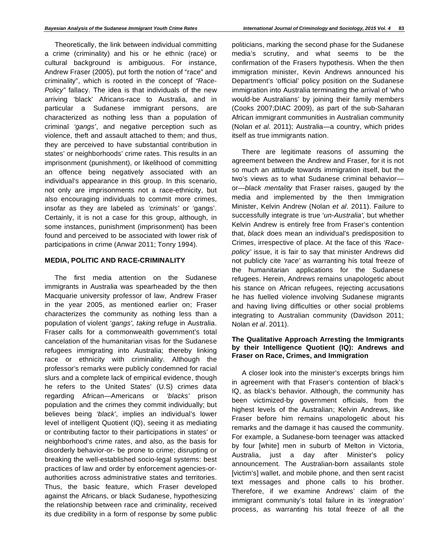Theoretically, the link between individual committing a crime (criminality) and his or he ethnic (race) or cultural background is ambiguous. For instance, Andrew Fraser (2005), put forth the notion of "race" and criminality", which is rooted in the concept of *"Race-Policy"* fallacy. The idea is that individuals of the new arriving 'black' Africans-race to Australia, and in particular a Sudanese immigrant persons, are characterized as nothing less than a population of criminal *'gangs'*, and negative perception such as violence, theft and assault attached to them; and thus, they are perceived to have substantial contribution in states' or neighborhoods' crime rates. This results in an imprisonment (punishment), or likelihood of committing an offence being negatively associated with an individual's appearance in this group. In this scenario, not only are imprisonments not a race-ethnicity, but also encouraging individuals to commit more crimes, insofar as they are labeled as *'criminals'* or 'gangs'. Certainly, it is not a case for this group, although, in some instances, punishment (imprisonment) has been found and perceived to be associated with lower risk of participations in crime (Anwar 2011; Tonry 1994).

# **MEDIA, POLITIC AND RACE-CRIMINALITY**

The first media attention on the Sudanese immigrants in Australia was spearheaded by the then Macquarie university professor of law, Andrew Fraser in the year 2005, as mentioned earlier on; Fraser characterizes the community as nothing less than a population of violent '*gangs', taking* refuge in Australia. Fraser calls for a commonwealth government's total cancelation of the humanitarian visas for the Sudanese refugees immigrating into Australia; thereby linking race or ethnicity with criminality. Although the professor's remarks were publicly condemned for racial slurs and a complete lack of empirical evidence, though he refers to the United States' (U.S) crimes data regarding African—Americans or *'blacks'* prison population and the crimes they commit individually; but believes being *'black'*, implies an individual's lower level of intelligent Quotient (IQ), seeing it as mediating or contributing factor to their participations in states' or neighborhood's crime rates, and also, as the basis for disorderly behavior-or- be prone to crime; disrupting or breaking the well-established socio-legal systems: best practices of law and order by enforcement agencies-orauthorities across administrative states and territories. Thus, the basic feature, which Fraser developed against the Africans, or black Sudanese, hypothesizing the relationship between race and criminality, received its due credibility in a form of response by some public politicians, marking the second phase for the Sudanese media's scrutiny, and what seems to be the confirmation of the Frasers hypothesis. When the then immigration minister, Kevin Andrews announced his Department's 'official' policy position on the Sudanese immigration into Australia terminating the arrival of 'who would-be Australians' by joining their family members (Cooks 2007;DIAC 2009), as part of the sub-Saharan African immigrant communities in Australian community (Nolan *et al.* 2011); Australia—a country, which prides itself as true immigrants nation.

There are legitimate reasons of assuming the agreement between the Andrew and Fraser, for it is not so much an attitude towards immigration itself, but the two's views as to what Sudanese criminal behavior or—*black mentality* that Fraser raises, gauged by the media and implemented by the then Immigration Minister, Kelvin Andrew (Nolan *et al*. 2011). Failure to successfully integrate is true '*un-Australia',* but whether Kelvin Andrew is entirely free from Fraser's contention that, *black* does mean an individual's predisposition to Crimes, irrespective of place. At the face of this *'Racepolicy'* issue, it is fair to say that minister Andrews did not publicly cite *'race'* as warranting his total freeze of the humanitarian applications for the Sudanese refugees. Herein, Andrews remains unapologetic about his stance on African refugees, rejecting accusations he has fuelled violence involving Sudanese migrants and having living difficulties or other social problems integrating to Australian community (Davidson 2011; Nolan *et al*. 2011).

# **The Qualitative Approach Arresting the Immigrants by their Intelligence Quotient (IQ): Andrews and Fraser on Race, Crimes, and Immigration**

A closer look into the minister's excerpts brings him in agreement with that Fraser's contention of black's IQ, as black's behavior. Although, the community has been victimized-by government officials, from the highest levels of the Australian; Kelvin Andrews, like Fraser before him remains unapologetic about his remarks and the damage it has caused the community. For example, a Sudanese-born teenager was attacked by four [white] men in suburb of Melton in Victoria, Australia, just a day after Minister's policy announcement. The Australian-born assailants stole [victim's] wallet, and mobile phone, and then sent racist text messages and phone calls to his brother. Therefore, if we examine Andrews' claim of the immigrant community's total failure in its *'integration'*  process, as warranting his total freeze of all the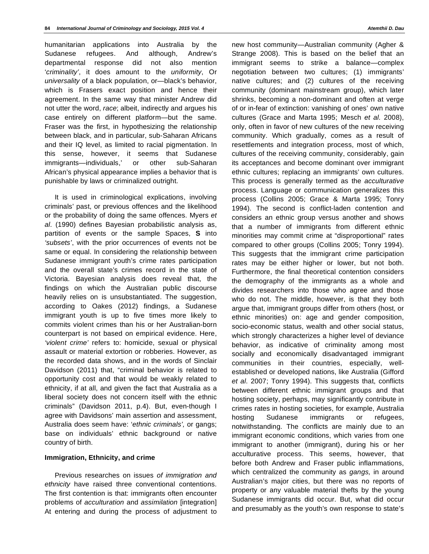humanitarian applications into Australia by the Sudanese refugees. And although, Andrew's departmental response did not also mention '*criminality'*, it does amount to the *uniformity*, Or *universality* of a black population, or—black's behavior, which is Frasers exact position and hence their agreement. In the same way that minister Andrew did not utter the word, *race*; albeit, indirectly and argues his case entirely on different platform—but the same. Fraser was the first, in hypothesizing the relationship between black, and in particular, sub-Saharan Africans and their IQ level, as limited to racial pigmentation. In this sense, however, it seems that Sudanese immigrants—individuals,' or other sub-Saharan African's physical appearance implies a behavior that is punishable by laws or criminalized outright.

It is used in criminological explications, involving criminals' past, or previous offences and the likelihood or the probability of doing the same offences. Myers *et al*. (1990) defines Bayesian probabilistic analysis as, partition of events or the sample Spaces, **S** into *'subsets'*, with the prior occurrences of events not be same or equal. In considering the relationship between Sudanese immigrant youth's crime rates participation and the overall state's crimes record in the state of Victoria. Bayesian analysis does reveal that, the findings on which the Australian public discourse heavily relies on is unsubstantiated. The suggestion, according to Oakes (2012) findings, a Sudanese immigrant youth is up to five times more likely to commits violent crimes than his or her Australian-born counterpart is not based on empirical evidence. Here, *'violent crime'* refers to: homicide, sexual or physical assault or material extortion or robberies. However, as the recorded data shows, and in the words of Sinclair Davidson (2011) that, "criminal behavior is related to opportunity cost and that would be weakly related to ethnicity, if at all, and given the fact that Australia as a liberal society does not concern itself with the ethnic criminals" (Davidson 2011, p.4). But, even-though I agree with Davidsons' main assertion and assessment, Australia does seem have: '*ethnic criminals',* or gangs; base on individuals' ethnic background or native country of birth.

#### **Immigration, Ethnicity, and crime**

Previous researches on issues *of immigration and ethnicity* have raised three conventional contentions. The first contention is that: immigrants often encounter problems of *acculturation* and *assimilation* [integration] At entering and during the process of adjustment to

new host community—Australian community (Agher & Strange 2008). This is based on the belief that an immigrant seems to strike a balance—complex negotiation between two cultures; (1) immigrants' native cultures; and (2) cultures of the receiving community (dominant mainstream group), which later shrinks, becoming a non-dominant and often at verge of or in-fear of extinction: vanishing of ones' own native cultures (Grace and Marta 1995; Mesch *et al.* 2008), only, often in favor of new cultures of the new receiving community. Which gradually, comes as a result of resettlements and integration process, most of which, cultures of the receiving community, considerably, gain its acceptances and become dominant over immigrant ethnic cultures; replacing an immigrants' own cultures. This process is generally termed as the *acculturative* process. Language or communication generalizes this process (Collins 2005; Grace & Marta 1995; Tonry 1994). The second is conflict-laden contention and considers an ethnic group versus another and shows that a number of immigrants from different ethnic minorities may commit crime at "disproportional" rates compared to other groups (Collins 2005; Tonry 1994). This suggests that the immigrant crime participation rates may be either higher or lower, but not both. Furthermore, the final theoretical contention considers the demography of the immigrants as a whole and divides researchers into those who agree and those who do not. The middle, however, is that they both argue that, immigrant groups differ from others (host, or ethnic minorities) on: age and gender composition, socio-economic status, wealth and other social status, which strongly characterizes a higher level of deviance behavior, as indicative of criminality among most socially and economically disadvantaged immigrant communities in their countries, especially, wellestablished or developed nations, like Australia (Gifford *et al*. 2007; Tonry 1994). This suggests that, conflicts between different ethnic immigrant groups and that hosting society, perhaps, may significantly contribute in crimes rates in hosting societies, for example, Australia hosting Sudanese immigrants or refugees, notwithstanding. The conflicts are mainly due to an immigrant economic conditions, which varies from one immigrant to another (immigrant), during his or her acculturative process. This seems, however, that before both Andrew and Fraser public inflammations, which centralized the community as *gangs,* in around Australian's major cities, but there was no reports of property or any valuable material thefts by the young Sudanese immigrants did occur. But, what did occur and presumably as the youth's own response to state's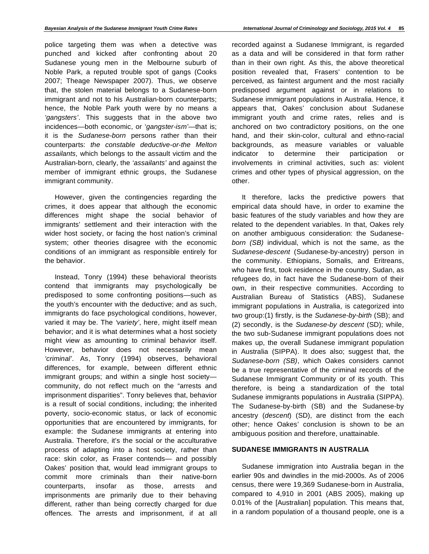police targeting them was when a detective was punched and kicked after confronting about 20 Sudanese young men in the Melbourne suburb of Noble Park, a reputed trouble spot of gangs (Cooks 2007; Theage Newspaper 2007). Thus, we observe that, the stolen material belongs to a Sudanese-born immigrant and not to his Australian-born counterparts; hence, the Noble Park youth were by no means a *'gangsters'*. This suggests that in the above two incidences—both economic, or '*gangster-ism'—*that is; it is the *Sudanese-born* persons rather than their counterparts: *the constable deductive-or-the Melton assailants,* which belongs to the assault victim and the Australian-born, clearly, the *'assailants'* and against the member of immigrant ethnic groups, the Sudanese immigrant community.

However, given the contingencies regarding the crimes, it does appear that although the economic differences might shape the social behavior of immigrants' settlement and their interaction with the wider host society, or facing the host nation's criminal system; other theories disagree with the economic conditions of an immigrant as responsible entirely for the behavior.

Instead, Tonry (1994) these behavioral theorists contend that immigrants may psychologically be predisposed to some confronting positions—such as the youth's encounter with the deductive; and as such, immigrants do face psychological conditions, however, varied it may be. The *'variety'*, here, might itself mean behavior; and it is what determines what a host society might view as amounting to criminal behavior itself. However, behavior does not necessarily mean *'criminal'*. As, Tonry (1994) observes, behavioral differences, for example, between different ethnic immigrant groups; and within a single host society community, do not reflect much on the "arrests and imprisonment disparities". Tonry believes that, behavior is a result of social conditions, including; the inherited poverty, socio-economic status, or lack of economic opportunities that are encountered by immigrants, for example: the Sudanese immigrants at entering into Australia. Therefore, it's the social or the acculturative process of adapting into a host society, rather than race: skin color, as Fraser contends— and possibly Oakes' position that, would lead immigrant groups to commit more criminals than their native-born counterparts, insofar as those, arrests and imprisonments are primarily due to their behaving different, rather than being correctly charged for due offences*.* The arrests and imprisonment, if at all recorded against a Sudanese Immigrant, is regarded as a data and will be considered in that form rather than in their own right. As this, the above theoretical position revealed that, Frasers' contention to be perceived, as faintest argument and the most racially predisposed argument against or in relations to Sudanese immigrant populations in Australia. Hence, it appears that, Oakes' conclusion about Sudanese immigrant youth and crime rates, relies and is anchored on two contradictory positions, on the one hand, and their skin-color, cultural and ethno-racial backgrounds, as measure variables or valuable indicator to determine their participation or involvements in criminal activities, such as: violent crimes and other types of physical aggression, on the other.

It therefore, lacks the predictive powers that empirical data should have, in order to examine the basic features of the study variables and how they are related to the dependent variables. In that, Oakes rely on another ambiguous consideration: the Sudanese*born (SB)* individual, which is not the same, as the *Sudanese-descent* (Sudanese-by-ancestry) person in the community. Ethiopians, Somalis, and Eritreans, who have first, took residence in the country, Sudan, as refugees do, in fact have the Sudanese-born of their own, in their respective communities. According to Australian Bureau of Statistics (ABS), Sudanese immigrant populations in Australia, is categorized into two group:(1) firstly, is the *Sudanese-by-birth* (SB); and (2) secondly, is the *Sudanese-by descent* (SD); while, the two sub-Sudanese immigrant populations does not makes up, the overall Sudanese immigrant population in Australia (SIPPA). It does also; suggest that, the *Sudanese-born (SB)*, which Oakes considers cannot be a true representative of the criminal records of the Sudanese Immigrant Community or of its youth. This therefore, is being a standardization of the total Sudanese immigrants populations in Australia (SIPPA). The Sudanese-by-birth (SB) and the Sudanese-by ancestry (*descent*) (SD), are distinct from the each other; hence Oakes' conclusion is shown to be an ambiguous position and therefore, unattainable.

#### **SUDANESE IMMIGRANTS IN AUSTRALIA**

Sudanese immigration into Australia began in the earlier 90s and dwindles in the mid-2000s. As of 2006 census, there were 19,369 Sudanese-born in Australia, compared to 4,910 in 2001 (ABS 2005), making up 0.01% of the [Australian] population. This means that, in a random population of a thousand people, one is a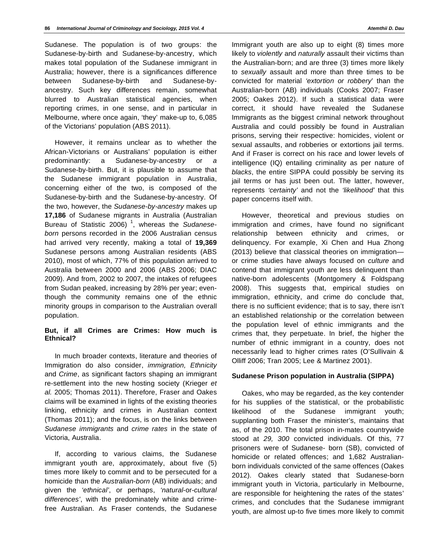Sudanese. The population is of two groups: the Sudanese-by-birth and Sudanese-by-ancestry, which makes total population of the Sudanese immigrant in Australia; however, there is a significances difference between Sudanese-by-birth and Sudanese-byancestry. Such key differences remain, somewhat blurred to Australian statistical agencies, when reporting crimes, in one sense, and in particular in Melbourne, where once again, 'they' make-up to, 6,085 of the Victorians' population (ABS 2011).

However, it remains unclear as to whether the African-Victorians or Australians' population is either predominantly: a Sudanese-by-ancestr*y* or *a*  Sudanese-by-birth. But, it is plausible to assume that the Sudanese immigrant population in Australia, concerning either of the two, is composed of the Sudanese-by-birth and the Sudanese-by-ancestry. Of the two, however, the *Sudanese-by-ancestry* makes up **17,186** of Sudanese migrants in Australia (Australian Bureau of Statistic 2006) 1, whereas the *Sudaneseborn* persons recorded in the 2006 Australian census had arrived very recently, making a total of **19,369** Sudanese persons among Australian residents (ABS 2010), most of which, 77% of this population arrived to Australia between 2000 and 2006 (ABS 2006; DIAC 2009). And from, 2002 to 2007, the intakes of refugees from Sudan peaked, increasing by 28% per year; eventhough the community remains one of the ethnic minority groups in comparison to the Australian overall population.

# **But, if all Crimes are Crimes: How much is Ethnical?**

In much broader contexts, literature and theories of Immigration do also consider, *immigration, Ethnicity* and *Crime*, as significant factors shaping an immigrant re-settlement into the new hosting society (Krieger *et al.* 2005; Thomas 2011). Therefore, Fraser and Oakes claims will be examined in lights of the existing theories linking, ethnicity and crimes in Australian context (Thomas 2011); and the focus, is on the links between *Sudanese immigrants* and *crime rates* in the state of Victoria, Australia.

If, according to various claims, the Sudanese immigrant youth are, approximately, about five (5) times more likely to commit and to be persecuted for a homicide than the *Australian-born* (AB) individuals; and given the *'ethnical'*, or perhaps, *'natural*-or*-cultural differences'*, with the predominately white and crimefree Australian. As Fraser contends, the Sudanese

Immigrant youth are also up to eight (8) times more likely to *violently* and *naturally* assault their victims than the Australian-born; and are three (3) times more likely to *sexually* assault and more than three times to be convicted for material *'extortion or robbery*' than the Australian-born (AB) individuals (Cooks 2007; Fraser 2005; Oakes 2012). If such a statistical data were correct, it should have revealed the Sudanese Immigrants as the biggest criminal network throughout Australia and could possibly be found in Australian prisons, serving their respective: homicides, violent or sexual assaults, and robberies or extortions jail terms. And if Fraser is correct on his race and lower levels of intelligence (IQ) entailing criminality as per nature of *blacks*, the entire SIPPA could possibly be serving its jail terms or has just been out. The latter, however, represents *'certainty'* and not the *'likelihood'* that this paper concerns itself with.

However, theoretical and previous studies on immigration and crimes, have found no significant relationship between ethnicity and crimes, or delinquency. For example, Xi Chen and Hua Zhong (2013) believe that classical theories on immigration or crime studies have always focused on *culture* and contend that immigrant youth are less delinquent than native-born adolescents (Montgomery & Foldspang 2008). This suggests that, empirical studies on immigration, ethnicity, and crime do conclude that, there is no sufficient evidence; that is to say, there isn't an established relationship or the correlation between the population level of ethnic immigrants and the crimes that, they perpetuate. In brief, the higher the number of ethnic immigrant in a country, does not necessarily lead to higher crimes rates (O'Sullivain & Olliff 2006; Tran 2005; Lee & Martinez 2001).

## **Sudanese Prison population in Australia (SIPPA)**

Oakes, who may be regarded, as the key contender for his supplies of the statistical, or the probabilistic likelihood of the Sudanese immigrant youth; supplanting both Fraser the minister's, maintains that as, of the 2010. The total prison in-mates countrywide stood at *29, 300* convicted individuals. Of this, 77 prisoners were of Sudanese- born (SB), convicted of homicide or related offences; and 1,682 Australianborn individuals convicted of the same offences (Oakes 2012). Oakes clearly stated that Sudanese-born immigrant youth in Victoria, particularly in Melbourne, are responsible for heightening the rates of the states' crimes, and concludes that the Sudanese immigrant youth, are almost up-to five times more likely to commit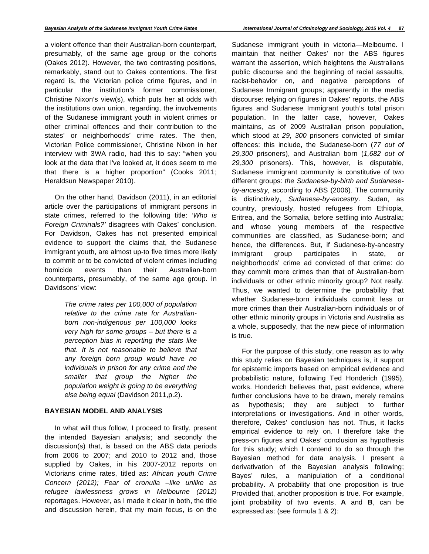a violent offence than their Australian-born counterpart, presumably, of the same age group or the cohorts (Oakes 2012). However, the two contrasting positions, remarkably, stand out to Oakes contentions. The first regard is, the Victorian police crime figures, and in particular the institution's former commissioner, Christine Nixon's view(s), which puts her at odds with the institutions own union, regarding, the involvements of the Sudanese immigrant youth in violent crimes or other criminal offences and their contribution to the states' or neighborhoods' crime rates. The then, Victorian Police commissioner, Christine Nixon in her interview with 3WA radio, had this to say: "when you look at the data that I've looked at, it does seem to me that there is a higher proportion" (Cooks 2011; Heraldsun Newspaper 2010).

On the other hand, Davidson (2011), in an editorial article over the participations of immigrant persons in state crimes, referred to the following title: '*Who is Foreign Criminals?'* disagrees with Oakes' conclusion. For Davidson, Oakes has not presented empirical evidence to support the claims that, the Sudanese immigrant youth, are almost up-to five times more likely to commit or to be convicted of violent crimes including homicide events than their Australian-born counterparts, presumably, of the same age group. In Davidsons' view:

> *The crime rates per 100,000 of population relative to the crime rate for Australianborn non-indigenous per 100,000 looks very high for some groups – but there is a perception bias in reporting the stats like that. It is not reasonable to believe that any foreign born group would have no individuals in prison for any crime and the smaller that group the higher the population weight is going to be everything else being equal* (Davidson 2011,p.2).

# **BAYESIAN MODEL AND ANALYSIS**

In what will thus follow, I proceed to firstly, present the intended Bayesian analysis; and secondly the discussion(s) that, is based on the ABS data periods from 2006 to 2007; and 2010 to 2012 and, those supplied by Oakes, in his 2007-2012 reports on Victorians crime rates, titled as: *African youth Crime Concern (2012); Fear of cronulla –like unlike as refugee lawlessness grows in Melbourne (2012)*  reportages. However, as I made it clear in both, the title and discussion herein, that my main focus, is on the Sudanese immigrant youth in victoria—Melbourne. I maintain that neither Oakes' nor the ABS figures warrant the assertion, which heightens the Australians public discourse and the beginning of racial assaults, racist-behavior on, and negative perceptions of Sudanese Immigrant groups; apparently in the media discourse: relying on figures in Oakes' reports, the ABS figures and Sudanese Immigrant youth's total prison population. In the latter case, however, Oakes maintains, as of 2009 Australian prison population**,**  which stood at *29, 300* prisoners convicted of similar offences: this include, the Sudanese-born (*77 out of 29,300* prisoners), and Australian born (*1,682 out of 29,300* prisoners). This, however, is disputable, Sudanese immigrant community is constitutive of two different groups: *the Sudanese-by-birth and Sudaneseby-ancestry,* according to ABS (2006). The community is distinctively, *Sudanese-by-ancestry*. Sudan, as country, previously, hosted refugees from Ethiopia, Eritrea, and the Somalia, before settling into Australia; and whose young members of the respective communities are classified, as Sudanese-born; and hence, the differences. But, if Sudanese-by-ancestry immigrant group participates in state, or neighborhoods' crime ad convicted of that crime: do they commit more crimes than that of Australian-born individuals or other ethnic minority group? Not really. Thus, we wanted to determine the probability that whether Sudanese-born individuals commit less or more crimes than their Australian-born individuals or of other ethnic minority groups in Victoria and Australia as a whole, supposedly, that the new piece of information is true.

For the purpose of this study, one reason as to why this study relies on Bayesian techniques is, it support for epistemic imports based on empirical evidence and probabilistic nature, following Ted Honderich (1995), works. Honderich believes that, past evidence, where further conclusions have to be drawn, merely remains as hypothesis; they are subject to further interpretations or investigations. And in other words, therefore, Oakes' conclusion has not. Thus, it lacks empirical evidence to rely on. I therefore take the press-on figures and Oakes' conclusion as hypothesis for this study; which I contend to do so through the Bayesian method for data analysis. I present a derivativation of the Bayesian analysis following; Bayes' rules, a manipulation of a conditional probability. A probability that one proposition is true Provided that, another proposition is true. For example, joint probability of two events, **A** and **B**, can be expressed as: (see formula 1 & 2):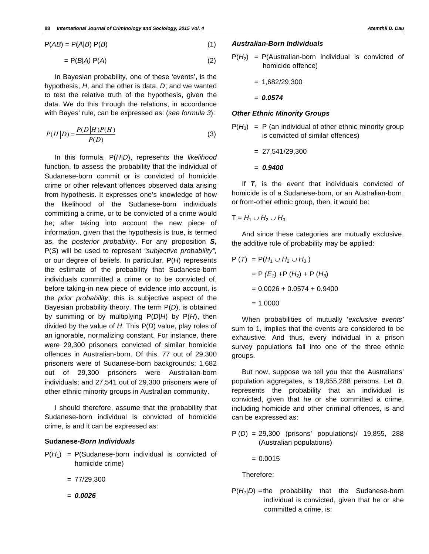$$
P(AB) = P(A|B) P(B)
$$
 (1)

$$
= P(B|A) P(A) \tag{2}
$$

In Bayesian probability, one of these 'events', is the hypothesis, *H*, and the other is data, *D*; and we wanted to test the relative truth of the hypothesis, given the data. We do this through the relations, in accordance with Bayes' rule, can be expressed as: (*see formula 3*):

$$
P(H|D) = \frac{P(D|H)P(H)}{P(D)}
$$
\n(3)

In this formula, P(*H*|*D*), represents the *likelihood*  function, to assess the probability that the individual of Sudanese-born commit or is convicted of homicide crime or other relevant offences observed data arising from hypothesis. It expresses one's knowledge of how the likelihood of the Sudanese-born individuals committing a crime, or to be convicted of a crime would be; after taking into account the new piece of information, given that the hypothesis is true, is termed as, the *posterior probability*. For any proposition *S***,** P(*S*) will be used to represent *"subjective probability",* or our degree of beliefs. In particular, P(*H*) represents the estimate of the probability that Sudanese-born individuals committed a crime or to be convicted of, before taking-in new piece of evidence into account, is the *prior probability*; this is subjective aspect of the Bayesian probability theory. The term P(*D*), is obtained by summing or by multiplying P(*D*|*H*) by P(*H*), then divided by the value of *H*. This P(*D*) value, play roles of an ignorable, normalizing constant. For instance, there were 29,300 prisoners convicted of similar homicide offences in Australian-born. Of this, 77 out of 29,300 prisoners were of Sudanese-born backgrounds; 1,682 out of 29,300 prisoners were Australian-born individuals; and 27,541 out of 29,300 prisoners were of other ethnic minority groups in Australian community.

I should therefore, assume that the probability that Sudanese-born individual is convicted of homicide crime, is and it can be expressed as:

#### **Sudanese-***Born Individuals*

- $P(H_1) = P(Sudanese-born individual is converted of$ homicide crime)
	- = 77/29,300
	- = *0.0026*

# *Australian-Born Individuals*

 $P(H_2) = P(A$ ustralian-born individual is convicted of homicide offence)

$$
= 1,682/29,300
$$

= *0.0574*

# *Other Ethnic Minority Groups*

 $P(H_3) = P$  (an individual of other ethnic minority group is convicted of similar offences)

$$
= 27,541/29,300
$$

= *0.9400* 

If *T,* is the event that individuals convicted of homicide is of a Sudanese-born, or an Australian-born, or from-other ethnic group, then, it would be:

$$
T = H_1 \cup H_2 \cup H_3
$$

And since these categories are mutually exclusive, the additive rule of probability may be applied:

$$
P(T) = P(H_1 \cup H_2 \cup H_3)
$$
  
=  $P(E_1) + P(H_2) + P(H_3)$   
= 0.0026 + 0.0574 + 0.9400  
= 1.0000

When probabilities of mutually '*exclusive events'* sum to 1, implies that the events are considered to be exhaustive*.* And thus, every individual in a prison survey populations fall into one of the three ethnic groups.

But now, suppose we tell you that the Australians' population aggregates, is 19,855,288 persons. Let *D*, represents the probability that an individual is convicted, given that he or she committed a crime, including homicide and other criminal offences, is and can be expressed as:

P (*D*) = 29,300 (prisons' populations)/ 19,855, 288 (Australian populations)

 $= 0.0015$ 

Therefore;

 $P(H_1|D)$  = the probability that the Sudanese-born individual is convicted, given that he or she committed a crime, is: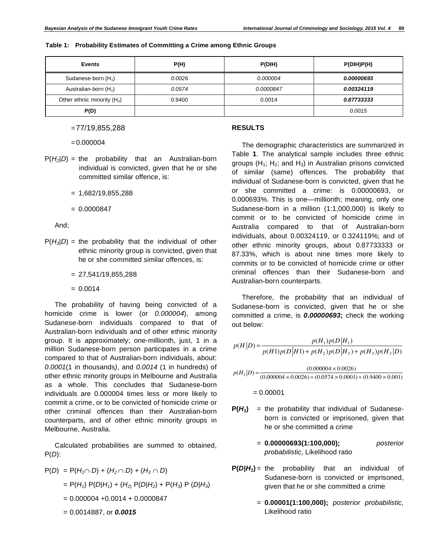|  |  |  |  |  | Table 1: Probability Estimates of Committing a Crime among Ethnic Groups |
|--|--|--|--|--|--------------------------------------------------------------------------|
|--|--|--|--|--|--------------------------------------------------------------------------|

| <b>Events</b>                 | P(H)   | P(DIH)    | P(DIH)P(H) |
|-------------------------------|--------|-----------|------------|
| Sudanese-born $(H_1)$         | 0.0026 | 0.000004  | 0.00000693 |
| Australian-born $(H2)$        | 0.0574 | 0.0000847 | 0.00324119 |
| Other ethnic minority $(H_3)$ | 0.9400 | 0.0014    | 0.87733333 |
| P(D)                          |        |           | 0.0015     |

= 77/19,855,288

 $= 0.000004$ 

- $P(H_2|D)$  = the probability that an Australian-born individual is convicted, given that he or she committed similar offence, is:
	- $= 1,682/19,855,288$
	- $= 0.0000847$

And;

- $P(H_3|D)$  = the probability that the individual of other ethnic minority group is convicted, given that he or she committed similar offences, is:
	- $= 27,541/19,855,288$
	- $= 0.0014$

The probability of having being convicted of a homicide crime is lower (or *0.000004*), among Sudanese-born individuals compared to that of Australian-born individuals and of other ethnic minority group. It is approximately; one-millionth, just, 1 in a million Sudanese-born person participates in a crime compared to that of Australian-born individuals, about: *0.0001*(1 in thousands*)*, and *0.0014* (1 in hundreds) of other ethnic minority groups in Melbourne and Australia as a whole. This concludes that Sudanese-born individuals are 0.000004 times less or more likely to commit a crime, or to be convicted of homicide crime or other criminal offences than their Australian-born counterparts, and of other ethnic minority groups in Melbourne, Australia.

Calculated probabilities are summed to obtained, P(*D*):

$$
P(D) = P(H_1 \cap D) + (H_2 \cap D) + (H_3 \cap D)
$$
  
= P(H<sub>1</sub>) P(D|H<sub>1</sub>) + (H<sub>2</sub>) P(D|H<sub>2</sub>) + P(H<sub>3</sub>) P (D|H<sub>3</sub>)  
= 0.000004 +0.0014 + 0.0000847

= 0.0014887, or *0.0015*

#### **RESULTS**

The demographic characteristics are summarized in Table **1**. The analytical sample includes three ethnic groups  $(H_1; H_2;$  and  $H_3)$  in Australian prisons convicted of similar (same) offences. The probability that individual of Sudanese-born is convicted, given that he or she committed a crime: is 0.00000693, or 0.000693%. This is one—millionth; meaning, only one Sudanese-born in a million (1:1,000,000) is likely to commit or to be convicted of homicide crime in Australia compared to that of Australian-born individuals, about 0.00324119, or 0.324119%; and of other ethnic minority groups, about 0.87733333 or 87.33%, which is about nine times more likely to commits or to be convicted of homicide crime or other criminal offences than their Sudanese-born and Australian-born counterparts.

Therefore, the probability that an individual of Sudanese-born is convicted, given that he or she committed a crime, is *0.00000693***;** check the working out below:

$$
p(H|D) = \frac{p(H_1)p(D|H_1)}{p(H1)p(D|H1) + p(H_2)p(D|H_2) + p(H_3)p(H_3|D)}
$$
  
\n
$$
p(H_1|D) = \frac{(0.000004 \times 0.0026)}{(0.000004 \times 0.0026) + (0.0574 \times 0.0001) + (0.9400 \times 0.001)}
$$

 $= 0.00001$ 

- $P(H_1)$  = the probability that individual of Sudaneseborn is convicted or imprisoned, given that he or she committed a crime
	- = **0.00000693(1:100,000);** *posterior probabilistic,* Likelihood ratio
- $P(D|H_1)$  = the probability that an individual of Sudanese-born is convicted or imprisoned, given that he or she committed a crime
	- = **0.00001(1:100,000);** *posterior probabilistic,* Likelihood ratio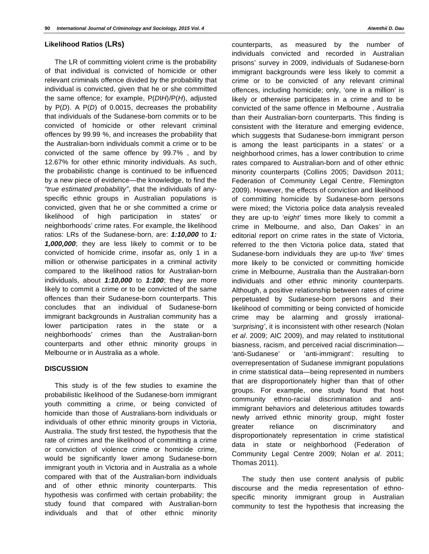## **Likelihood Ratios (LRs)**

The LR of committing violent crime is the probability of that individual is convicted of homicide or other relevant criminals offence divided by the probability that individual is convicted, given that he or she committed the same offence; for example, P(*D*I*H*)/P(*H*), adjusted by P(*D*). A P(*D*) of 0.0015, decreases the probability that individuals of the Sudanese-born commits or to be convicted of homicide or other relevant criminal offences by 99.99 %, and increases the probability that the Australian-born individuals commit a crime or to be convicted of the same offence by 99.7% , and by 12.67% for other ethnic minority individuals. As such, the probabilistic change is continued to be influenced by a new piece of evidence—the knowledge, to find the *"true estimated probability"*, that the individuals of anyspecific ethnic groups in Australian populations is convicted, given that he or she committed a crime or likelihood of high participation in states' or neighborhoods' crime rates. For example, the likelihood ratios: LRs of the Sudanese-born, are: *1:10,000* to *1: 1,000,000*; they are less likely to commit or to be convicted of homicide crime, insofar as, only 1 in a million or otherwise participates in a criminal activity compared to the likelihood ratios for Australian-born individuals, about *1:10,000* to *1:100*; they are more likely to commit a crime or to be convicted of the same offences than their Sudanese-born counterparts. This concludes that an individual of Sudanese-born immigrant backgrounds in Australian community has a lower participation rates in the state or a neighborhoods' crimes than the Australian-born counterparts and other ethnic minority groups in Melbourne or in Australia as a whole.

## **DISCUSSION**

This study is of the few studies to examine the probabilistic likelihood of the Sudanese-born immigrant youth committing a crime, or being convicted of homicide than those of Australians-born individuals or individuals of other ethnic minority groups in Victoria, Australia. The study first tested, the hypothesis that the rate of crimes and the likelihood of committing a crime or conviction of violence crime or homicide crime, would be significantly lower among Sudanese-born immigrant youth in Victoria and in Australia as a whole compared with that of the Australian-born individuals and of other ethnic minority counterparts. This hypothesis was confirmed with certain probability; the study found that compared with Australian-born individuals and that of other ethnic minority

counterparts, as measured by the number of individuals convicted and recorded in Australian prisons' survey in 2009, individuals of Sudanese-born immigrant backgrounds were less likely to commit a crime or to be convicted of any relevant criminal offences, including homicide; only, 'one in a million' is likely or otherwise participates in a crime and to be convicted of the same offence in Melbourne , Australia than their Australian-born counterparts. This finding is consistent with the literature and emerging evidence, which suggests that Sudanese-born immigrant person is among the least participants in a states' or a neighborhood crimes, has a lower contribution to crime rates compared to Australian-born and of other ethnic minority counterparts (Collins 2005; Davidson 2011; Federation of Community Legal Centre, Flemington 2009). However, the effects of conviction and likelihood of committing homicide by Sudanese-born persons were mixed; the Victoria police data analysis revealed they are up-to *'eight'* times more likely to commit a crime in Melbourne, and also, Dan Oakes' in an editorial report on crime rates in the state of Victoria, referred to the then Victoria police data, stated that Sudanese-born individuals they are up-to *'five*' times more likely to be convicted or committing homicide crime in Melbourne, Australia than the Australian-born individuals and other ethnic minority counterparts. Although, a positive relationship between rates of crime perpetuated by Sudanese-born persons and their likelihood of committing or being convicted of homicide crime may be alarming and grossly irrational- *'surprising'*, it is inconsistent with other research (Nolan *et al*. 2009; AIC 2009), and may related to institutional biasness, racism, and perceived racial discrimination— 'anti-Sudanese' or 'anti-immigrant': resulting to overrepresentation of Sudanese immigrant populations in crime statistical data—being represented in numbers that are disproportionately higher than that of other groups. For example, one study found that host community ethno-racial discrimination and antiimmigrant behaviors and deleterious attitudes towards newly arrived ethnic minority group, might foster greater reliance on discriminatory and disproportionately representation in crime statistical data in state or neighborhood (Federation of Community Legal Centre 2009; Nolan *et al*. 2011; Thomas 2011).

The study then use content analysis of public discourse and the media representation of ethnospecific minority immigrant group in Australian community to test the hypothesis that increasing the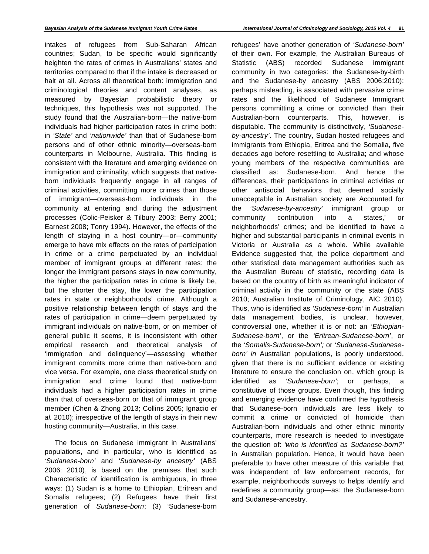intakes of refugees from Sub-Saharan African countries; Sudan, to be specific would significantly heighten the rates of crimes in Australians' states and territories compared to that if the intake is decreased or halt at all. Across all theoretical both: immigration and criminological theories and content analyses, as measured by Bayesian probabilistic theory or techniques, this hypothesis was not supported. The study found that the Australian-born—the native-born individuals had higher participation rates in crime both: in *'State'* and *'nationwide'* than that of Sudanese-born persons and of other ethnic minority—overseas-born counterparts in Melbourne, Australia. This finding is consistent with the literature and emerging evidence on immigration and criminality, which suggests that nativeborn individuals frequently engage in all ranges of criminal activities, committing more crimes than those of immigrant—overseas-born individuals in the community at entering and during the adjustment processes (Colic-Peisker & Tilbury 2003; Berry 2001; Earnest 2008; Tonry 1994). However, the effects of the length of staying in a host country—or—community emerge to have mix effects on the rates of participation in crime or a crime perpetuated by an individual member of immigrant groups at different rates: the longer the immigrant persons stays in new community, the higher the participation rates in crime is likely be, but the shorter the stay, the lower the participation rates in state or neighborhoods' crime. Although a positive relationship between length of stays and the rates of participation in crime—deem perpetuated by immigrant individuals on native-born, or on member of general public it seems, it is inconsistent with other empirical research and theoretical analysis of 'immigration and delinquency'—assessing whether immigrant commits more crime than native-born and vice versa. For example, one class theoretical study on immigration and crime found that native-born individuals had a higher participation rates in crime than that of overseas-born or that of immigrant group member (Chen & Zhong 2013; Collins 2005; Ignacio *et al.* 2010); irrespective of the length of stays in their new hosting community—Australia, in this case.

The focus on Sudanese immigrant in Australians' populations, and in particular, who is identified as *'Sudanese-born'* and *'Sudanese-by ancestry'* (ABS 2006: 2010), is based on the premises that such Characteristic of identification is ambiguous, in three ways: (1) Sudan is a home to Ethiopian, Eritrean and Somalis refugees; (2) Refugees have their first generation of *Sudanese-born*; (3) 'Sudanese-born refugees' have another generation of *'Sudanese-born'* of their own. For example, the Australian Bureaus of Statistic (ABS) recorded Sudanese immigrant community in two categories: the Sudanese-by-birth and the Sudanese-by ancestry (ABS 2006:2010); perhaps misleading, is associated with pervasive crime rates and the likelihood of Sudanese Immigrant persons committing a crime or convicted than their Australian-born counterparts. This, however, is disputable. The community is distinctively, *'Sudaneseby-ancestry'*. The country, Sudan hosted refugees and immigrants from Ethiopia, Eritrea and the Somalia, five decades ago before resettling to Australia; and whose young members of the respective communities are classified as: Sudanese-born. And hence the differences, their participations in criminal activities or other antisocial behaviors that deemed socially unacceptable in Australian society are Accounted for the *'Sudanese-by-ancestry'* immigrant group or community contribution into a states,' or neighborhoods' crimes; and be identified to have a higher and substantial participants in criminal events in Victoria or Australia as a whole. While available Evidence suggested that, the police department and other statistical data management authorities such as the Australian Bureau of statistic, recording data is based on the country of birth as meaningful indicator of criminal activity in the community or the state (ABS 2010; Australian Institute of Criminology, AIC 2010). Thus, who is identified as *'Sudanese-born'* in Australian data management bodies, is unclear, however, controversial one, whether it is or not: an *'Ethiopian-Sudanese-born'*, or the *'Eritrean-Sudanese-born'*, or the *'Somalis-Sudanese-born';* or *'Sudanese-Sudaneseborn' in* Australian populations, is poorly understood, given that there is no sufficient evidence or existing literature to ensure the conclusion on, which group is identified as *'Sudanese-born'*; or perhaps, a constitutive of those groups. Even though, this finding and emerging evidence have confirmed the hypothesis that Sudanese-born individuals are less likely to commit a crime or convicted of homicide than Australian-born individuals and other ethnic minority counterparts, more research is needed to investigate the question of: *'who is identified as Sudanese-born?'*  in Australian population. Hence, it would have been preferable to have other measure of this variable that was independent of law enforcement records, for example, neighborhoods surveys to helps identify and redefines a community group—as: the Sudanese-born and Sudanese-ancestry.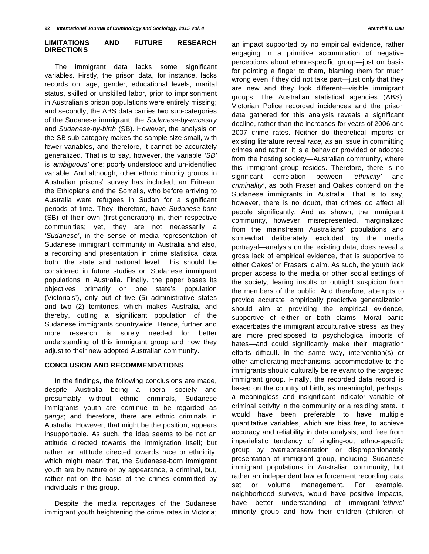# **LIMITATIONS AND FUTURE RESEARCH DIRECTIONS**

The immigrant data lacks some significant variables. Firstly, the prison data, for instance, lacks records on: age, gender, educational levels, marital status, skilled or unskilled labor, prior to imprisonment in Australian's prison populations were entirely missing; and secondly, the ABS data carries two sub-categories of the Sudanese immigrant: the *Sudanese-by-ancestry* and *Sudanese-by-birth* (SB). However, the analysis on the SB sub-category makes the sample size small, with fewer variables, and therefore, it cannot be accurately generalized. That is to say, however, the variable *'SB'* is *'ambiguous'* one: poorly understood and un-identified variable. And although, other ethnic minority groups in Australian prisons' survey has included; an Eritrean, the Ethiopians and the Somalis, who before arriving to Australia were refugees in Sudan for a significant periods of time. They, therefore, have *Sudanese-born*  (SB) of their own (first-generation) in, their respective communities; yet, they are not necessarily a *'Sudanese'*, in the sense of media representation of Sudanese immigrant community in Australia and also, a recording and presentation in crime statistical data both: the state and national level. This should be considered in future studies on Sudanese immigrant populations in Australia. Finally, the paper bases its objectives primarily on one state's population (Victoria's'), only out of five (5) administrative states and two (2) territories, which makes Australia, and thereby, cutting a significant population of the Sudanese immigrants countrywide. Hence, further and more research is sorely needed for better understanding of this immigrant group and how they adjust to their new adopted Australian community.

# **CONCLUSION AND RECOMMENDATIONS**

In the findings, the following conclusions are made, despite Australia being a liberal society and presumably without ethnic criminals, Sudanese immigrants youth are continue to be regarded as *gangs*; and therefore, there are ethnic criminals in Australia. However, that might be the position, appears insupportable. As such, the idea seems to be not an attitude directed towards the immigration itself; but rather, an attitude directed towards race or ethnicity, which might mean that, the Sudanese-born immigrant youth are by nature or by appearance, a criminal, but, rather not on the basis of the crimes committed by individuals in this group.

Despite the media reportages of the Sudanese immigrant youth heightening the crime rates in Victoria;

an impact supported by no empirical evidence, rather engaging in a primitive accumulation of negative perceptions about ethno-specific group—just on basis for pointing a finger to them, blaming them for much wrong even if they did not take part—just only that they are new and they look different—visible immigrant groups. The Australian statistical agencies (ABS), Victorian Police recorded incidences and the prison data gathered for this analysis reveals a significant decline, rather than the increases for years of 2006 and 2007 crime rates. Neither do theoretical imports or existing literature reveal *race, as* an issue in committing crimes and rather, it is a behavior provided or adopted from the hosting society—Australian community, where this immigrant group resides. Therefore, there is no significant correlation between *'ethnicity'* and *criminality'*, as both Fraser and Oakes contend on the Sudanese immigrants in Australia. That is to say, however, there is no doubt, that crimes do affect all people significantly. And as shown, the immigrant community, however, misrepresented, marginalized from the mainstream Australians' populations and somewhat deliberately excluded by the media portrayal—analysis on the existing data, does reveal a gross lack of empirical evidence, that is supportive to either Oakes' or Frasers' claim. As such, the youth lack proper access to the media or other social settings of the society, fearing insults or outright suspicion from the members of the public. And therefore, attempts to provide accurate, empirically predictive generalization should aim at providing the empirical evidence, supportive of either or both claims. Moral panic exacerbates the immigrant acculturative stress, as they are more predisposed to psychological imports of hates—and could significantly make their integration efforts difficult. In the same way, intervention(s) or other ameliorating mechanisms, accommodative to the immigrants should culturally be relevant to the targeted immigrant group. Finally, the recorded data record is based on the country of birth, as meaningful; perhaps, a meaningless and insignificant indicator variable of criminal activity in the community or a residing state. It would have been preferable to have multiple quantitative variables, which are bias free, to achieve accuracy and reliability in data analysis, and free from imperialistic tendency of singling-out ethno-specific group by overrepresentation or disproportionately presentation of immigrant group, including, Sudanese immigrant populations in Australian community, but rather an independent law enforcement recording data set or volume management. For example, neighborhood surveys, would have positive impacts, have better understanding of immigrant-*'ethnic'* minority group and how their children (children of